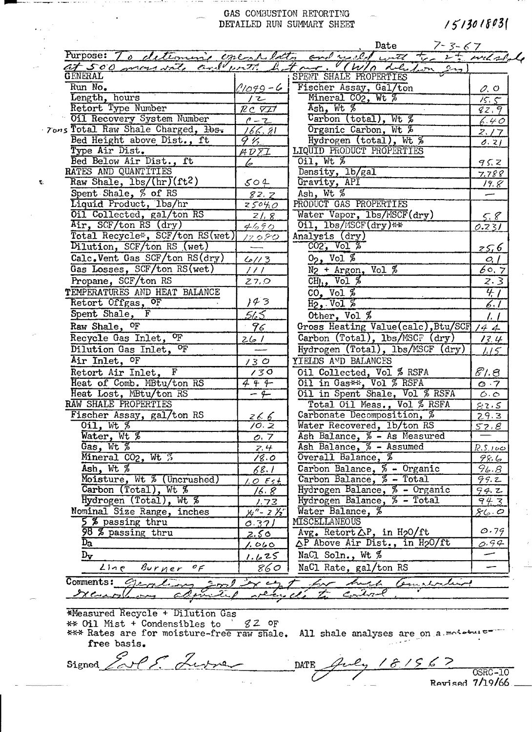## GAS COMBUSTION RETORTING DETAILED RUN SUMMARY SHEET

 $1513018031$ 

| Purpose: To determine executedly and used with<br>at 500 more vate and with he |                                                       | the 2th will shall<br>(W/s delibon en<br>$T \sim r$ .         |                     |
|--------------------------------------------------------------------------------|-------------------------------------------------------|---------------------------------------------------------------|---------------------|
| <b>GENERAL</b>                                                                 |                                                       | SPENT SHALE PROPERTIES                                        |                     |
| Run No.                                                                        | $(1049 - 6)$                                          | Fischer Assay, Gal/ton                                        | O, O                |
| Length, hours                                                                  | ノ乙                                                    | Mineral CO <sub>2</sub> , Wt %                                | 15.5                |
| Retort Type Number                                                             | RCVII                                                 | $Ash, Wt$ %                                                   | 82,9                |
| Oil Recovery System Number                                                     | $1 - 2$                                               | $\frac{1}{\sqrt{2}}$ (total), Wt $\frac{1}{\sqrt{2}}$         | 6.40                |
| Tons Total Raw Shale Charged, 1bs.                                             | 166.81                                                | Organic Carbon, Wt %                                          | 2.17                |
| Bed Height above Dist., ft                                                     | $9\,\%$                                               | Hydrogen (total), Wt %                                        | 0.21                |
| Type Air Dist.                                                                 | $\overline{A\mathcal{D}\overline{\Sigma}\mathcal{I}}$ | LIQUID PRODUCT PROPERTIES                                     |                     |
| Bed Below Air Dist., ft                                                        | lə-                                                   | $0$ il, Wt $%$                                                | 95.2                |
| RATES AND QUANTITIES                                                           |                                                       | Density, 1b/gal                                               | 7.788               |
| Raw Shale, lbs/(hr)(ft2)                                                       | 504                                                   | Gravity, API                                                  | 19.8                |
| Spent Shale, % of RS                                                           | 82.7                                                  | Ash, Wt %                                                     |                     |
| Liquid Product, 1bs/hr                                                         | 25040                                                 | PRODUCT GAS PROPERTIES                                        |                     |
| Oil Collected, gal/ton RS                                                      | 21.8                                                  | Water Vapor, 1bs/MSCF(dry)                                    |                     |
| Air, SCF/ton RS (dry)                                                          | 4690                                                  | 011, lbs/MSCF(dry)**                                          | $rac{5.8}{0.231}$   |
| Total Recycle*, SCF/ton RS(wet)                                                | 17080                                                 | Analysis (dry)                                                |                     |
| Dilution, SCF/ton RS (wet)                                                     |                                                       | CO2, Vol %                                                    | <u>25,6</u>         |
| Calc. Vent Gas SCF/ton RS(dry)                                                 | 61/3                                                  | $0_2$ , Vol $%$                                               | O, I                |
| Gas Losses, SCF/ton RS(wet)                                                    | 111                                                   | $N_2$ + Argon, Vol %                                          | 60.7                |
| Propane, SCF/ton RS                                                            | 27.0                                                  | $CHJ1$ , Vol $\%$                                             | 2.3                 |
| TEMPERATURES AND HEAT BALANCE                                                  |                                                       | $CO2$ Vol $\frac{2}{2}$                                       | $\overline{47}$     |
| Retort Offgas, OF                                                              | 143                                                   | $H_2$ , Vol $%$                                               | 6. T                |
| Spent Shale, F                                                                 | 565                                                   | Other, Vol %                                                  | $\frac{1}{2}$       |
| Raw Shale, <sup>OF</sup>                                                       |                                                       | Gross Heating Value(calc), Btu/SCF                            |                     |
|                                                                                | 96                                                    |                                                               | 144                 |
| Recycle Gas Inlet, <sup>OF</sup>                                               | 261                                                   | Carbon (Total), lbs/MSCF (dry)                                | 13.4                |
| Dilution Gas Inlet, OF                                                         |                                                       | Hydrogen (Total), lbs/MSCF (dry)                              | 115                 |
| Air Inlet, OF                                                                  | 130                                                   | YIELDS AND BALANCES                                           |                     |
| Retort Air Inlet, F                                                            | 130                                                   | Oil Collected, Vol % RSFA                                     | 81.8                |
| Heat of Comb. MBtu/ton RS                                                      | 444                                                   | Oil in Gas**, Vol % RSFA                                      | O.7                 |
| Heat Lost, MBtu/ton RS                                                         | $-4$                                                  | Oil in Spent Shale, Vol % RSFA<br>Total Oil Meas., Vol % RSFA | $\sigma$ . $\sigma$ |
| RAW SHALE PROPERTIES                                                           |                                                       |                                                               | 82.5                |
| Fischer Assay, gal/ton RS                                                      | $rac{26.6}{10.2}$                                     | Carbonate Decomposition, %                                    | 29.3                |
| $0i1, Wt$ %                                                                    |                                                       | Water Recovered, 1b/ton RS                                    | 52.8                |
| Water, Wt %                                                                    | O, 7                                                  | Ash Balance, % - As Measured                                  |                     |
| Gas, $Wt$ %                                                                    | 7.4                                                   | Ash Balance, % - Assumed                                      | <u>R.S.100</u>      |
| Mineral CO <sub>2</sub> , Wt 3                                                 | 18.0                                                  | Overall Balance, %                                            | 98.6                |
| Ash, $Wt \, %$                                                                 | <u>68.1 </u>                                          | Carbon Balance, % - Organic                                   | 96.8                |
| Moisture, Wt % (Uncrushed)                                                     | $1.0$ Est.                                            | Carbon Balance, % - Total                                     | 99.2                |
| Carbon (Total), Wt %                                                           | 16. 8 -                                               | Hydrogen Balance, % - Organic                                 | 94.2                |
| Hydrogen (Total), Wt %                                                         | 1.73                                                  | Hydrogen Balance, % - Total                                   | 94.3                |
| Nominal Size Range, inches                                                     | $x_1'' - z' z''$                                      | Water Balance, %                                              | 86.0                |
| 5 % passing thru                                                               | 0.371                                                 | MISCELLANEOUS                                                 |                     |
| 98 % passing thru                                                              | <u>2.50 </u>                                          | $Avg_*$ Retort $\triangle P$ , in H <sub>2</sub> O/ft         | 0.79                |
| $\overline{D_{2}}$                                                             | 1.060                                                 | △P Above Air Dist., in H2O/ft                                 | 0.94                |
| $\mathbf{D}_{\mathbf{V}}$                                                      | 1.625                                                 | NaCl Soln., Wt %                                              |                     |
| Line Burner<br>$\sigma_{\mathcal{F}}$                                          | 860                                                   | NaCl Rate, gal/ton RS                                         |                     |

O.S. Lure

\*Measured Recycle + Dilution Gas<br>\*\* Oil Mist + Condensibles to  $\frac{gZ}{}$  OF<br>\*\*\* Rates are for moisture-free raw shale. All shale analyses are on a moisture free basis.

Signed

سيميس

 $\hat{\mathbf{c}}_i$ 

181567 DATE **OSRC-10** 

 $\omega$ rised  $7/19/66$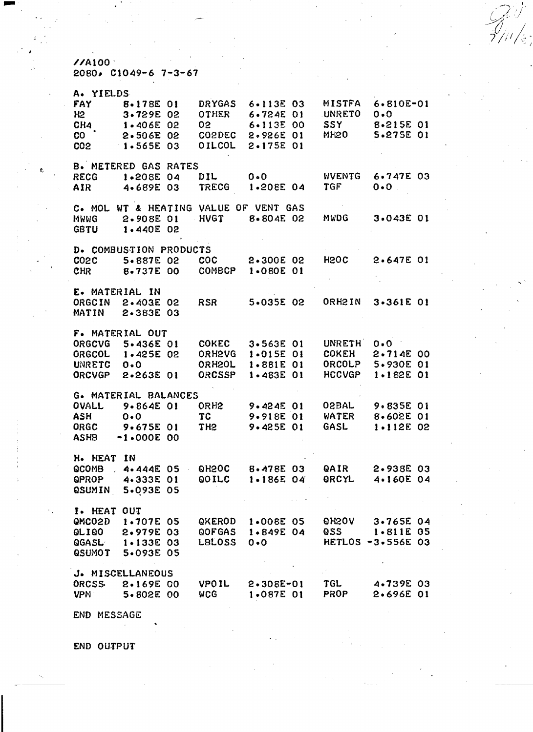$\frac{7}{4100}$ <br>2080, C1049-6 7-3-67

| A. YIELDS       |                                                                                                                                                                                                                                                                                                                                                                                                                                                                                                                                                                                                                                                                                                                                                                                                                                                                                                                                                                                                                                                                                                                                                                                                                                                                                                                                                                                                                                                                                                                                                                                                                     |  |               |               |  |                          |               |  |
|-----------------|---------------------------------------------------------------------------------------------------------------------------------------------------------------------------------------------------------------------------------------------------------------------------------------------------------------------------------------------------------------------------------------------------------------------------------------------------------------------------------------------------------------------------------------------------------------------------------------------------------------------------------------------------------------------------------------------------------------------------------------------------------------------------------------------------------------------------------------------------------------------------------------------------------------------------------------------------------------------------------------------------------------------------------------------------------------------------------------------------------------------------------------------------------------------------------------------------------------------------------------------------------------------------------------------------------------------------------------------------------------------------------------------------------------------------------------------------------------------------------------------------------------------------------------------------------------------------------------------------------------------|--|---------------|---------------|--|--------------------------|---------------|--|
| FAY             | 8.178E 01                                                                                                                                                                                                                                                                                                                                                                                                                                                                                                                                                                                                                                                                                                                                                                                                                                                                                                                                                                                                                                                                                                                                                                                                                                                                                                                                                                                                                                                                                                                                                                                                           |  | <b>DRYGAS</b> | $6 - 113E$ 03 |  | MISTFA                   | $6.810E - 01$ |  |
| H2              | 3.729E 02                                                                                                                                                                                                                                                                                                                                                                                                                                                                                                                                                                                                                                                                                                                                                                                                                                                                                                                                                                                                                                                                                                                                                                                                                                                                                                                                                                                                                                                                                                                                                                                                           |  | OTHER         | $6.724E$ 01   |  | <b>UNRETO</b>            | 0.0           |  |
| CH4             | $1.406E$ 02                                                                                                                                                                                                                                                                                                                                                                                                                                                                                                                                                                                                                                                                                                                                                                                                                                                                                                                                                                                                                                                                                                                                                                                                                                                                                                                                                                                                                                                                                                                                                                                                         |  | 02            | $6.113E$ 00   |  | <b>SSY</b>               | 8-215E 01     |  |
| CO              | 2.506E 02                                                                                                                                                                                                                                                                                                                                                                                                                                                                                                                                                                                                                                                                                                                                                                                                                                                                                                                                                                                                                                                                                                                                                                                                                                                                                                                                                                                                                                                                                                                                                                                                           |  | <b>COSDEC</b> | 2.926E 01     |  | <b>MH20</b>              | 5.275E 01     |  |
| CO <sub>2</sub> |                                                                                                                                                                                                                                                                                                                                                                                                                                                                                                                                                                                                                                                                                                                                                                                                                                                                                                                                                                                                                                                                                                                                                                                                                                                                                                                                                                                                                                                                                                                                                                                                                     |  |               |               |  |                          |               |  |
|                 |                                                                                                                                                                                                                                                                                                                                                                                                                                                                                                                                                                                                                                                                                                                                                                                                                                                                                                                                                                                                                                                                                                                                                                                                                                                                                                                                                                                                                                                                                                                                                                                                                     |  |               |               |  |                          |               |  |
|                 |                                                                                                                                                                                                                                                                                                                                                                                                                                                                                                                                                                                                                                                                                                                                                                                                                                                                                                                                                                                                                                                                                                                                                                                                                                                                                                                                                                                                                                                                                                                                                                                                                     |  |               |               |  |                          |               |  |
|                 |                                                                                                                                                                                                                                                                                                                                                                                                                                                                                                                                                                                                                                                                                                                                                                                                                                                                                                                                                                                                                                                                                                                                                                                                                                                                                                                                                                                                                                                                                                                                                                                                                     |  |               |               |  |                          |               |  |
|                 |                                                                                                                                                                                                                                                                                                                                                                                                                                                                                                                                                                                                                                                                                                                                                                                                                                                                                                                                                                                                                                                                                                                                                                                                                                                                                                                                                                                                                                                                                                                                                                                                                     |  |               |               |  |                          |               |  |
|                 |                                                                                                                                                                                                                                                                                                                                                                                                                                                                                                                                                                                                                                                                                                                                                                                                                                                                                                                                                                                                                                                                                                                                                                                                                                                                                                                                                                                                                                                                                                                                                                                                                     |  |               |               |  |                          |               |  |
|                 |                                                                                                                                                                                                                                                                                                                                                                                                                                                                                                                                                                                                                                                                                                                                                                                                                                                                                                                                                                                                                                                                                                                                                                                                                                                                                                                                                                                                                                                                                                                                                                                                                     |  |               |               |  |                          |               |  |
|                 |                                                                                                                                                                                                                                                                                                                                                                                                                                                                                                                                                                                                                                                                                                                                                                                                                                                                                                                                                                                                                                                                                                                                                                                                                                                                                                                                                                                                                                                                                                                                                                                                                     |  |               |               |  |                          |               |  |
|                 |                                                                                                                                                                                                                                                                                                                                                                                                                                                                                                                                                                                                                                                                                                                                                                                                                                                                                                                                                                                                                                                                                                                                                                                                                                                                                                                                                                                                                                                                                                                                                                                                                     |  |               |               |  |                          |               |  |
|                 |                                                                                                                                                                                                                                                                                                                                                                                                                                                                                                                                                                                                                                                                                                                                                                                                                                                                                                                                                                                                                                                                                                                                                                                                                                                                                                                                                                                                                                                                                                                                                                                                                     |  |               |               |  |                          |               |  |
|                 |                                                                                                                                                                                                                                                                                                                                                                                                                                                                                                                                                                                                                                                                                                                                                                                                                                                                                                                                                                                                                                                                                                                                                                                                                                                                                                                                                                                                                                                                                                                                                                                                                     |  |               |               |  |                          |               |  |
|                 |                                                                                                                                                                                                                                                                                                                                                                                                                                                                                                                                                                                                                                                                                                                                                                                                                                                                                                                                                                                                                                                                                                                                                                                                                                                                                                                                                                                                                                                                                                                                                                                                                     |  |               |               |  |                          |               |  |
|                 |                                                                                                                                                                                                                                                                                                                                                                                                                                                                                                                                                                                                                                                                                                                                                                                                                                                                                                                                                                                                                                                                                                                                                                                                                                                                                                                                                                                                                                                                                                                                                                                                                     |  |               |               |  |                          |               |  |
| <b>CHR</b>      |                                                                                                                                                                                                                                                                                                                                                                                                                                                                                                                                                                                                                                                                                                                                                                                                                                                                                                                                                                                                                                                                                                                                                                                                                                                                                                                                                                                                                                                                                                                                                                                                                     |  |               |               |  |                          |               |  |
|                 |                                                                                                                                                                                                                                                                                                                                                                                                                                                                                                                                                                                                                                                                                                                                                                                                                                                                                                                                                                                                                                                                                                                                                                                                                                                                                                                                                                                                                                                                                                                                                                                                                     |  |               |               |  |                          |               |  |
|                 |                                                                                                                                                                                                                                                                                                                                                                                                                                                                                                                                                                                                                                                                                                                                                                                                                                                                                                                                                                                                                                                                                                                                                                                                                                                                                                                                                                                                                                                                                                                                                                                                                     |  |               |               |  |                          |               |  |
| ORGCIN          |                                                                                                                                                                                                                                                                                                                                                                                                                                                                                                                                                                                                                                                                                                                                                                                                                                                                                                                                                                                                                                                                                                                                                                                                                                                                                                                                                                                                                                                                                                                                                                                                                     |  | <b>RSR</b>    |               |  | ORH2IN                   |               |  |
| MATIN           |                                                                                                                                                                                                                                                                                                                                                                                                                                                                                                                                                                                                                                                                                                                                                                                                                                                                                                                                                                                                                                                                                                                                                                                                                                                                                                                                                                                                                                                                                                                                                                                                                     |  |               |               |  |                          |               |  |
|                 |                                                                                                                                                                                                                                                                                                                                                                                                                                                                                                                                                                                                                                                                                                                                                                                                                                                                                                                                                                                                                                                                                                                                                                                                                                                                                                                                                                                                                                                                                                                                                                                                                     |  |               |               |  |                          |               |  |
|                 |                                                                                                                                                                                                                                                                                                                                                                                                                                                                                                                                                                                                                                                                                                                                                                                                                                                                                                                                                                                                                                                                                                                                                                                                                                                                                                                                                                                                                                                                                                                                                                                                                     |  |               |               |  |                          |               |  |
|                 |                                                                                                                                                                                                                                                                                                                                                                                                                                                                                                                                                                                                                                                                                                                                                                                                                                                                                                                                                                                                                                                                                                                                                                                                                                                                                                                                                                                                                                                                                                                                                                                                                     |  |               |               |  | <b>UNRETH</b>            | $0 \cdot 0$   |  |
|                 |                                                                                                                                                                                                                                                                                                                                                                                                                                                                                                                                                                                                                                                                                                                                                                                                                                                                                                                                                                                                                                                                                                                                                                                                                                                                                                                                                                                                                                                                                                                                                                                                                     |  |               |               |  |                          |               |  |
| <b>UNRETC</b>   |                                                                                                                                                                                                                                                                                                                                                                                                                                                                                                                                                                                                                                                                                                                                                                                                                                                                                                                                                                                                                                                                                                                                                                                                                                                                                                                                                                                                                                                                                                                                                                                                                     |  |               |               |  |                          |               |  |
|                 |                                                                                                                                                                                                                                                                                                                                                                                                                                                                                                                                                                                                                                                                                                                                                                                                                                                                                                                                                                                                                                                                                                                                                                                                                                                                                                                                                                                                                                                                                                                                                                                                                     |  |               |               |  |                          |               |  |
|                 |                                                                                                                                                                                                                                                                                                                                                                                                                                                                                                                                                                                                                                                                                                                                                                                                                                                                                                                                                                                                                                                                                                                                                                                                                                                                                                                                                                                                                                                                                                                                                                                                                     |  |               |               |  |                          |               |  |
|                 | <b>OILCOL</b><br>2.175E 01<br>$1.565E$ 03<br><b>B. METERED GAS RATES</b><br><b>WVENTG</b><br>$6.747E$ 03<br>$0 \cdot 0$<br>1.208E 04<br>DIL.<br>RECG<br>TGF<br>$0 \cdot 0$<br><b>TRECG</b><br>1.208E 04<br>4.689E 03<br>AIR<br>C. MOL WT & HEATING VALUE OF VENT GAS<br><b>HVGT</b><br>8.804E 02<br>MWDG<br>3.043E 01<br>2.908E 01<br>MWWG<br>GBTU<br>$1.440E$ 02<br>D. COMBUSTION PRODUCTS<br><b>H2OC</b><br>$2.647E$ 01<br>$\mathsf{coc}$<br>2.300E 02<br>CO2C<br>5.887E 02<br><b>COMBCP</b><br>1.080E 01<br>8.737E 00<br>E. MATERIAL IN<br>5.035E 02<br>$3 - 361E$ 01<br>2.403E 02<br>2.383E 03<br>F. MATERIAL OUT<br>ORGCVG 5.436E 01<br><b>COKEC</b><br>3.563E 01<br>ORH2VG 1.015E 01<br><b>COKEH</b><br>$2.714E$ 00<br>ORGCOL 1.425E 02<br>ORH2OL<br>ORCOLP<br>5.930E 01<br>$1.881E$ 01<br>0.0<br>ORCSSP<br><b>HCCVGP</b><br>$1.182E$ 01<br>ORCVGP<br>2.263E 01<br>$1.483E$ 01<br><b>G. MATERIAL BALANCES</b><br><b>OVALL</b><br>9.864E 01<br>$9.424E$ 01<br><b>O2BAL</b><br>ORH <sub>2</sub><br>$9.835E$ 01<br><b>TC</b><br>9.918E 01<br><b>WATER</b><br>8.602E 01<br>0.0<br>ORGC<br>$9.675E$ 01<br>TH <sub>2</sub><br>$9.425E$ 01<br>GASL<br>$1.112E$ 02<br><b>ASHB</b><br>$-1.000E$ 00<br>H. HEAT<br>IN.<br><b>QCOMB</b><br>, 4.444E 05 0H20C<br>8.478E 03<br>QAIR<br>2.938E 03<br>QRCYL<br><b>OPROP</b><br>QOILC 1.186E 04<br>4.160E 04<br>4.333E 01<br>QSUMIN 5.093E 05<br>I. HEAT OUT<br>QMC02D 1.707E 05 QKEROD 1.008E 05 QH2OV 3.765E 04<br>QLIQO 2.979E 03<br>QOFGAS 1.849E 04<br>QSS 1.811E 05<br>QGASL 1.133E 03<br>LBLOSS 0.0<br><b>HETLOS -3.556E 03</b><br>QSUMOT 5.093E 05<br>J. MISCELLANEOUS |  |               |               |  |                          |               |  |
|                 |                                                                                                                                                                                                                                                                                                                                                                                                                                                                                                                                                                                                                                                                                                                                                                                                                                                                                                                                                                                                                                                                                                                                                                                                                                                                                                                                                                                                                                                                                                                                                                                                                     |  |               |               |  |                          |               |  |
| <b>ASH</b>      |                                                                                                                                                                                                                                                                                                                                                                                                                                                                                                                                                                                                                                                                                                                                                                                                                                                                                                                                                                                                                                                                                                                                                                                                                                                                                                                                                                                                                                                                                                                                                                                                                     |  |               |               |  |                          |               |  |
|                 |                                                                                                                                                                                                                                                                                                                                                                                                                                                                                                                                                                                                                                                                                                                                                                                                                                                                                                                                                                                                                                                                                                                                                                                                                                                                                                                                                                                                                                                                                                                                                                                                                     |  |               |               |  |                          |               |  |
|                 |                                                                                                                                                                                                                                                                                                                                                                                                                                                                                                                                                                                                                                                                                                                                                                                                                                                                                                                                                                                                                                                                                                                                                                                                                                                                                                                                                                                                                                                                                                                                                                                                                     |  |               |               |  |                          |               |  |
|                 |                                                                                                                                                                                                                                                                                                                                                                                                                                                                                                                                                                                                                                                                                                                                                                                                                                                                                                                                                                                                                                                                                                                                                                                                                                                                                                                                                                                                                                                                                                                                                                                                                     |  |               |               |  |                          |               |  |
|                 |                                                                                                                                                                                                                                                                                                                                                                                                                                                                                                                                                                                                                                                                                                                                                                                                                                                                                                                                                                                                                                                                                                                                                                                                                                                                                                                                                                                                                                                                                                                                                                                                                     |  |               |               |  |                          |               |  |
|                 |                                                                                                                                                                                                                                                                                                                                                                                                                                                                                                                                                                                                                                                                                                                                                                                                                                                                                                                                                                                                                                                                                                                                                                                                                                                                                                                                                                                                                                                                                                                                                                                                                     |  |               |               |  |                          |               |  |
|                 |                                                                                                                                                                                                                                                                                                                                                                                                                                                                                                                                                                                                                                                                                                                                                                                                                                                                                                                                                                                                                                                                                                                                                                                                                                                                                                                                                                                                                                                                                                                                                                                                                     |  |               |               |  |                          |               |  |
|                 |                                                                                                                                                                                                                                                                                                                                                                                                                                                                                                                                                                                                                                                                                                                                                                                                                                                                                                                                                                                                                                                                                                                                                                                                                                                                                                                                                                                                                                                                                                                                                                                                                     |  |               |               |  |                          |               |  |
|                 |                                                                                                                                                                                                                                                                                                                                                                                                                                                                                                                                                                                                                                                                                                                                                                                                                                                                                                                                                                                                                                                                                                                                                                                                                                                                                                                                                                                                                                                                                                                                                                                                                     |  |               |               |  |                          |               |  |
|                 |                                                                                                                                                                                                                                                                                                                                                                                                                                                                                                                                                                                                                                                                                                                                                                                                                                                                                                                                                                                                                                                                                                                                                                                                                                                                                                                                                                                                                                                                                                                                                                                                                     |  |               |               |  |                          |               |  |
|                 |                                                                                                                                                                                                                                                                                                                                                                                                                                                                                                                                                                                                                                                                                                                                                                                                                                                                                                                                                                                                                                                                                                                                                                                                                                                                                                                                                                                                                                                                                                                                                                                                                     |  |               |               |  |                          |               |  |
|                 |                                                                                                                                                                                                                                                                                                                                                                                                                                                                                                                                                                                                                                                                                                                                                                                                                                                                                                                                                                                                                                                                                                                                                                                                                                                                                                                                                                                                                                                                                                                                                                                                                     |  |               |               |  |                          |               |  |
|                 |                                                                                                                                                                                                                                                                                                                                                                                                                                                                                                                                                                                                                                                                                                                                                                                                                                                                                                                                                                                                                                                                                                                                                                                                                                                                                                                                                                                                                                                                                                                                                                                                                     |  |               |               |  |                          |               |  |
|                 |                                                                                                                                                                                                                                                                                                                                                                                                                                                                                                                                                                                                                                                                                                                                                                                                                                                                                                                                                                                                                                                                                                                                                                                                                                                                                                                                                                                                                                                                                                                                                                                                                     |  |               |               |  |                          |               |  |
|                 |                                                                                                                                                                                                                                                                                                                                                                                                                                                                                                                                                                                                                                                                                                                                                                                                                                                                                                                                                                                                                                                                                                                                                                                                                                                                                                                                                                                                                                                                                                                                                                                                                     |  |               |               |  |                          |               |  |
|                 |                                                                                                                                                                                                                                                                                                                                                                                                                                                                                                                                                                                                                                                                                                                                                                                                                                                                                                                                                                                                                                                                                                                                                                                                                                                                                                                                                                                                                                                                                                                                                                                                                     |  |               |               |  |                          |               |  |
|                 |                                                                                                                                                                                                                                                                                                                                                                                                                                                                                                                                                                                                                                                                                                                                                                                                                                                                                                                                                                                                                                                                                                                                                                                                                                                                                                                                                                                                                                                                                                                                                                                                                     |  |               |               |  |                          |               |  |
|                 | ORCSS 2.169E 00 VPOIL 2.308E-01 TGL 4.739E 03                                                                                                                                                                                                                                                                                                                                                                                                                                                                                                                                                                                                                                                                                                                                                                                                                                                                                                                                                                                                                                                                                                                                                                                                                                                                                                                                                                                                                                                                                                                                                                       |  |               |               |  |                          |               |  |
|                 | VPM 5.802E 00                                                                                                                                                                                                                                                                                                                                                                                                                                                                                                                                                                                                                                                                                                                                                                                                                                                                                                                                                                                                                                                                                                                                                                                                                                                                                                                                                                                                                                                                                                                                                                                                       |  | <b>WCG</b>    |               |  | 1.087E 01 PROP 2.696E 01 |               |  |
|                 |                                                                                                                                                                                                                                                                                                                                                                                                                                                                                                                                                                                                                                                                                                                                                                                                                                                                                                                                                                                                                                                                                                                                                                                                                                                                                                                                                                                                                                                                                                                                                                                                                     |  |               |               |  |                          |               |  |
|                 |                                                                                                                                                                                                                                                                                                                                                                                                                                                                                                                                                                                                                                                                                                                                                                                                                                                                                                                                                                                                                                                                                                                                                                                                                                                                                                                                                                                                                                                                                                                                                                                                                     |  |               |               |  |                          |               |  |

 $\bigwedge_{i\in I}$ 

END MESSAGE

END OUTPUT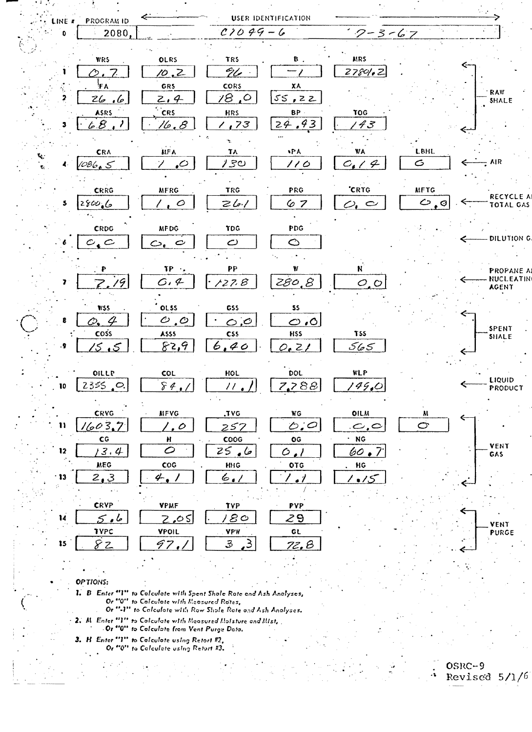| LINE # | <b>PROGRAM ID</b>                |                                        |                              | USER IDENTIFICATION      |                                           |             |                              |
|--------|----------------------------------|----------------------------------------|------------------------------|--------------------------|-------------------------------------------|-------------|------------------------------|
|        | 2080,                            |                                        | $C1099 - 6$                  |                          | $7 - 3 - 67$                              |             |                              |
|        |                                  |                                        |                              |                          |                                           |             |                              |
|        | <b>WRS</b>                       | OLRS                                   | <b>TRS</b>                   | ₿.                       | <b>MRS</b>                                |             |                              |
|        | ぅ.                               | 10.Z                                   | 96                           |                          | 27801.2                                   |             |                              |
|        | FA                               | GRS                                    | CORS                         | XA                       |                                           |             |                              |
|        | Z6<br>فيكمو                      | 2.4                                    | $\circ$ , $\circ$            | 55,22                    |                                           |             | RAW<br><b>SHALE</b>          |
|        | ASRS                             | <b>CRS</b>                             | HRS                          | BP.                      | TOG                                       |             |                              |
|        | <u>lo B</u>                      | <u>16,8</u>                            | ,73                          | <u>24.43</u>             | '43                                       |             |                              |
|        |                                  |                                        |                              |                          |                                           |             |                              |
|        | CRA                              | <b>MFA</b>                             | TÃ                           | ъPА.                     | V/A                                       | <b>LBHL</b> |                              |
|        | 1086.5                           | $\mathcal{L}$                          | 130                          | 110                      | $C_{\bullet}$<br>$\mathcal{L}$            | $\sigma$    | $=$ AIR                      |
|        |                                  |                                        |                              |                          |                                           |             |                              |
|        | CRRG                             | <b>MFRG</b>                            | <b>TRG</b>                   | PRG                      | 'CRTG                                     | <b>MFTG</b> |                              |
|        | 280066                           | $\prime$ , $\circ$                     | 261                          | 67                       | $\varphi_{\scriptscriptstyle\bullet} \in$ | $O_{10}$    | RECYCLE A<br>TOTAL GAS       |
|        |                                  |                                        |                              |                          |                                           |             |                              |
|        | CRDG                             | <b>MFDG</b>                            | TDG                          | PDG                      |                                           |             |                              |
|        | $c_{\bullet}c$                   | $\mathcal{O}_{\epsilon}$ $\mathcal{O}$ | $\mathcal{C}$                | $\circlearrowright$      |                                           |             | DILUTION G.                  |
|        |                                  |                                        |                              |                          |                                           |             |                              |
|        | P                                | $TP \rightarrow$                       | PP                           | ₩                        | N,                                        |             | PROPANE AI                   |
| 7      | 19<br>$Z_{\epsilon}$             | G.4                                    | 127.8                        | 280.8                    | O, O                                      |             | <b>NUCLEATIN</b>             |
|        |                                  |                                        |                              |                          |                                           |             | <b>AGENT</b>                 |
|        | WSS                              | <b>OLSS</b>                            | GSS                          | 55                       |                                           |             |                              |
|        | Ο.                               | $\mathcal{O}$ , $\mathcal{O}$          | O, O                         | $\circ$ .0               |                                           |             |                              |
|        | coss                             | ASSS                                   | <b>CSS</b>                   | <b>HSS</b>               | T <sub>55</sub>                           |             | <b>SPENT</b><br><b>SHALE</b> |
| ۰9     | <u>ۍ ئ</u>                       | 82,9                                   | 6,40                         | 0.21                     | 565                                       |             |                              |
|        |                                  |                                        |                              |                          |                                           |             |                              |
|        | OILLP                            | COL                                    | HOL                          | DOL                      | <b>WLP</b>                                |             |                              |
| 10     | 2355<br>$\overline{\phantom{a}}$ | 84.                                    | $\prime\prime$               | 7,788                    | 149.0                                     |             | LIQUID<br>PRODUCT            |
|        |                                  |                                        |                              |                          |                                           |             |                              |
|        | CRVG                             | <b>MFVG</b>                            | .TVG                         | <b>WG</b>                | OILM                                      | M           | €                            |
| 11     | 16037                            | $\cdot$ . $\circ$                      | 257                          | $\ddot{\circ}$ , $\circ$ | $\sim$ , $\subset$                        | Ġ           |                              |
|        | $\mathsf{CG}$                    | $\pmb{\mathsf{H}}$                     | $\cos$                       | $\overline{\textbf{o}}$  | $\cdot$ NG                                |             |                              |
| 12     | 3.4                              | $\circ$                                | خا • 25                      | $\circ$ .                | 60.                                       |             | VENT<br>GAS                  |
|        | <b>MEG</b>                       | $\mathsf{COG}$                         | HHG                          | OTG                      | HG                                        |             |                              |
| 13     | 2,3                              | 4.1                                    | 6.1                          | اني '                    | 1 . IS                                    |             |                              |
|        |                                  |                                        |                              |                          |                                           |             |                              |
|        | <b>CRVP</b>                      | <b>VPMF</b>                            | <b>TYP</b>                   | <b>PYP</b>               |                                           |             |                              |
| 14     | 5.6                              | 2.05                                   | ' 80                         | 29                       |                                           |             |                              |
|        | TYPC                             | VPOIL                                  | <b>VPW</b>                   | GL                       |                                           |             | VENT<br><b>PURGE</b>         |
| 15     | 82                               | 97.,                                   | 3<br>$\mathcal{L}_{\bullet}$ | <u>72.B</u>              |                                           |             |                              |
|        |                                  |                                        |                              |                          |                                           |             |                              |
|        |                                  |                                        |                              |                          |                                           |             |                              |

OPTIONS:

1. B Enter "1" to Colculate with Spent Shole Rote and Ash Analyses,<br>Or "0" to Colculate with Measured Rotes,<br>Or "-1" to Colculate with Row Shole Rote and Ash Analyses.

 $\pm$  2. M. Enter  $^{\alpha}V^{\alpha}$  to Colculate with Measured Molsture and Mist,  $\pm$ -Or "0" to Colculate from Vent Purge Data.

3. H. Enter "1" to Calculate using Retort #2,<br>Or "0" to Calculate using Retort #3.

 $\mathbf{g}^{\dagger}$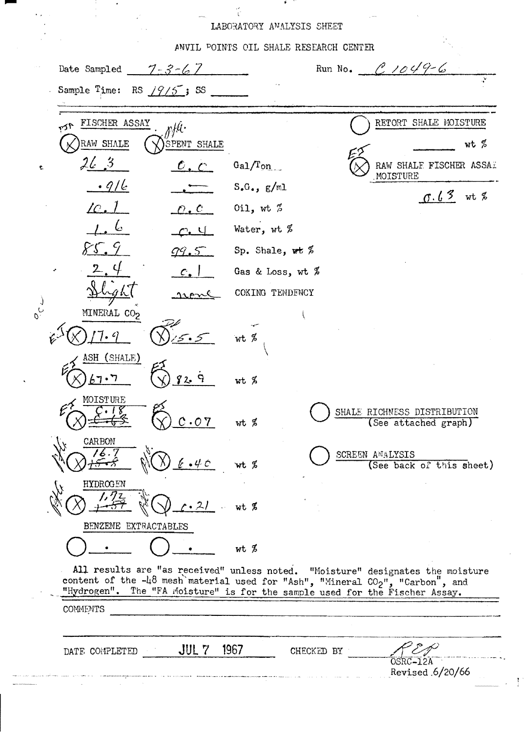## LABORATORY ANALYSIS SHEET

ANVIL POINTS OIL SHALE RESEARCH CENTER Run No.  $0.1049-6$ Date Sampled  $7 - 3 - 67$ Sample Time: RS  $/9/5$ ; SS RETORT SHALE MOISTURE FISCHER ASSAY pHt. r⁄م RAW SHALE SPENT SHALE wt %  $26/3$  $Ga1/Ton$ RAW SHALF FISCHER ASSAI  $\mathcal{O}$  .  $\mathcal{O}$ MOISTURE  $.9/6$  $S_{\bullet}G_{\bullet}$ ,  $g/ml$  $0.63$  wt %  $10.1$ Oil, wt  $\%$  $\mathcal{O}$  .  $\mathcal{C}$ Water, wt % Sp. Shale, we  $%$ Gas & Loss, wt  $%$ COKING TENDENCY MINERAL CO<sub>2</sub>  $wt$  % ASH (SHALE)  $67 \cdot 7$ ut % MOISTURE SHALE RICHNESS DISTRIBUTION  $.07$  $wt$   $%$ (See attached graph) CARBON SCREEN ANALYSIS wt %  $4 - C$ (See back of this sheet) HYDROGEN  $21$  $wt$  % BENZENE EXTRACTABLES wt % All results are "as received" unless noted. "Moisture" designates the moisture content of the -48 mesh material used for "Ash", "Mineral CO<sub>2</sub>", "Carbon", and "Hydrogen". The "FA Moisture" is for the sample used for the Fischer Assay. **COMMENTS** 

DATE COMPLETED

 $\frac{1}{2}$ 

 $JUL$   $7$ 1967 CHECKED BY

Revised 6/20/66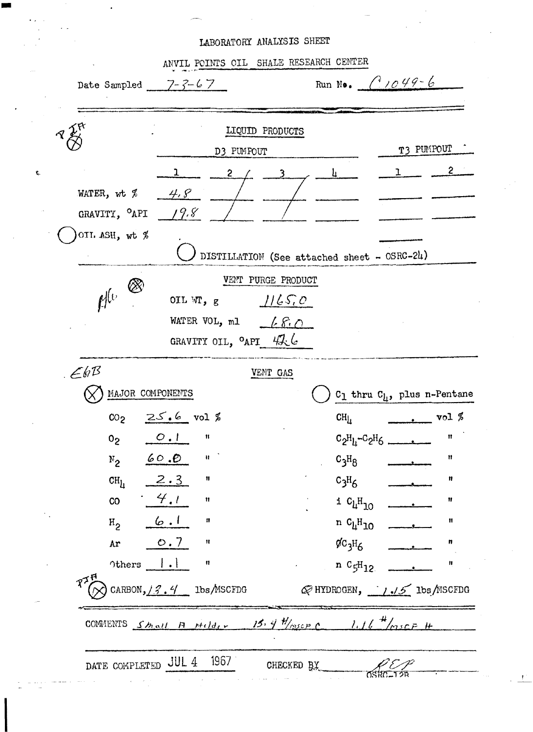## LABORATORY ANALYSIS SHEET

¢

|                                                  |                                                                     | LIQUID PRODUCTS    |                                                                                                                                                                                                                                                                                                     |                                                                                                                                                                                                                                                                                                                                                                                                                                   |    |
|--------------------------------------------------|---------------------------------------------------------------------|--------------------|-----------------------------------------------------------------------------------------------------------------------------------------------------------------------------------------------------------------------------------------------------------------------------------------------------|-----------------------------------------------------------------------------------------------------------------------------------------------------------------------------------------------------------------------------------------------------------------------------------------------------------------------------------------------------------------------------------------------------------------------------------|----|
|                                                  | D3 PUMPOUT                                                          |                    |                                                                                                                                                                                                                                                                                                     | T3 PUMPOUT                                                                                                                                                                                                                                                                                                                                                                                                                        |    |
|                                                  | $\mathbf{1}$<br>2 /                                                 |                    | $\frac{1}{2}$                                                                                                                                                                                                                                                                                       |                                                                                                                                                                                                                                                                                                                                                                                                                                   | 2  |
| WATER, wt $\%$ $\frac{\mathcal{H}}{\mathcal{S}}$ |                                                                     |                    |                                                                                                                                                                                                                                                                                                     |                                                                                                                                                                                                                                                                                                                                                                                                                                   |    |
| GRAVITY, $^{\circ}$ API / 9.8                    |                                                                     |                    |                                                                                                                                                                                                                                                                                                     |                                                                                                                                                                                                                                                                                                                                                                                                                                   |    |
| OIL ASH, wt %                                    |                                                                     |                    |                                                                                                                                                                                                                                                                                                     |                                                                                                                                                                                                                                                                                                                                                                                                                                   |    |
|                                                  |                                                                     |                    | DISTILLATION (See attached sheet - OSRC-24)                                                                                                                                                                                                                                                         |                                                                                                                                                                                                                                                                                                                                                                                                                                   |    |
|                                                  |                                                                     | VENT PURGE PRODUCT |                                                                                                                                                                                                                                                                                                     |                                                                                                                                                                                                                                                                                                                                                                                                                                   |    |
| $\mathbb{R}^{(0)}$                               | OIL W <sub>1</sub> , g $1/65.0$                                     |                    |                                                                                                                                                                                                                                                                                                     |                                                                                                                                                                                                                                                                                                                                                                                                                                   |    |
|                                                  | WATER VOL, ml $\leftarrow$ $\leftarrow$ $\mathcal{E} \cdot \bigcap$ |                    |                                                                                                                                                                                                                                                                                                     |                                                                                                                                                                                                                                                                                                                                                                                                                                   |    |
|                                                  | GRAVITY OIL, <sup>O</sup> API 42.6                                  |                    |                                                                                                                                                                                                                                                                                                     |                                                                                                                                                                                                                                                                                                                                                                                                                                   |    |
| E6B                                              |                                                                     | VENT GAS           |                                                                                                                                                                                                                                                                                                     |                                                                                                                                                                                                                                                                                                                                                                                                                                   |    |
| MAJOR COMPONENTS                                 |                                                                     |                    |                                                                                                                                                                                                                                                                                                     | $C_1$ thru $C_1$ , plus n-Pentane                                                                                                                                                                                                                                                                                                                                                                                                 |    |
|                                                  | $CO2$ $25.6$ vol %                                                  |                    | CH <sub>Li</sub>                                                                                                                                                                                                                                                                                    | $\frac{1}{\sqrt{1-\frac{1}{\sqrt{1-\frac{1}{\sqrt{1-\frac{1}{\sqrt{1-\frac{1}{\sqrt{1-\frac{1}{\sqrt{1-\frac{1}{\sqrt{1-\frac{1}{\sqrt{1-\frac{1}{\sqrt{1-\frac{1}{\sqrt{1-\frac{1}{\sqrt{1-\frac{1}{\sqrt{1-\frac{1}{\sqrt{1-\frac{1}{\sqrt{1-\frac{1}{\sqrt{1-\frac{1}{\sqrt{1-\frac{1}{\sqrt{1-\frac{1}{\sqrt{1-\frac{1}{\sqrt{1-\frac{1}{\sqrt{1-\frac{1}{\sqrt{1-\frac{1}{\sqrt{1-\frac{1}{\sqrt{1-\frac{1}{\sqrt{1-\frac{1$ |    |
|                                                  | $0_2$ 0.1 $\frac{1}{1}$ =                                           |                    |                                                                                                                                                                                                                                                                                                     | $C_2H_1-C_2H_6$                                                                                                                                                                                                                                                                                                                                                                                                                   | Ħ  |
| $N_{2}$                                          | 60.0<br>$\pmb{\mathfrak{t}}$                                        |                    | $c_3H_8$                                                                                                                                                                                                                                                                                            |                                                                                                                                                                                                                                                                                                                                                                                                                                   | Ħ  |
| CH <sub>L</sub>                                  | 2.3<br>$\mathbf{u}$                                                 |                    | $c_3H_6$                                                                                                                                                                                                                                                                                            |                                                                                                                                                                                                                                                                                                                                                                                                                                   | Ħ  |
| CO                                               | 4.1<br>Ħ                                                            |                    | i $c_{\mu}H_{10}$                                                                                                                                                                                                                                                                                   |                                                                                                                                                                                                                                                                                                                                                                                                                                   | Ħ  |
| $H_2$ 6.1                                        | n                                                                   |                    | n C <sub>h</sub> H <sub>10</sub>                                                                                                                                                                                                                                                                    |                                                                                                                                                                                                                                                                                                                                                                                                                                   | 11 |
| Ar                                               | O.7<br>Ħ                                                            |                    | $\rm$ $\rm$ $\rm g$ $\rm g$ $\rm g$ $\rm g$ $\rm g$ $\rm g$ $\rm g$ $\rm g$ $\rm g$ $\rm g$ $\rm g$ $\rm g$ $\rm g$ $\rm g$ $\rm g$ $\rm g$ $\rm g$ $\rm g$ $\rm g$ $\rm g$ $\rm g$ $\rm g$ $\rm g$ $\rm g$ $\rm g$ $\rm g$ $\rm g$ $\rm g$ $\rm g$ $\rm g$ $\rm g$ $\rm g$ $\rm g$ $\rm g$ $\rm g$ |                                                                                                                                                                                                                                                                                                                                                                                                                                   | n  |
| Others $  \cdot  $                               | $\mathbf{H}$                                                        |                    | $n C_5H_{12}$                                                                                                                                                                                                                                                                                       |                                                                                                                                                                                                                                                                                                                                                                                                                                   | Ħ  |
| $R^{\chi}$                                       | CARBON, $/3.4$ lbs MSCFDG                                           |                    | $\mathscr Q$ HYDROGEN, $\frac{1}{\sqrt{5}}$ lbs/MSCFDG                                                                                                                                                                                                                                              |                                                                                                                                                                                                                                                                                                                                                                                                                                   |    |
|                                                  |                                                                     |                    |                                                                                                                                                                                                                                                                                                     |                                                                                                                                                                                                                                                                                                                                                                                                                                   |    |